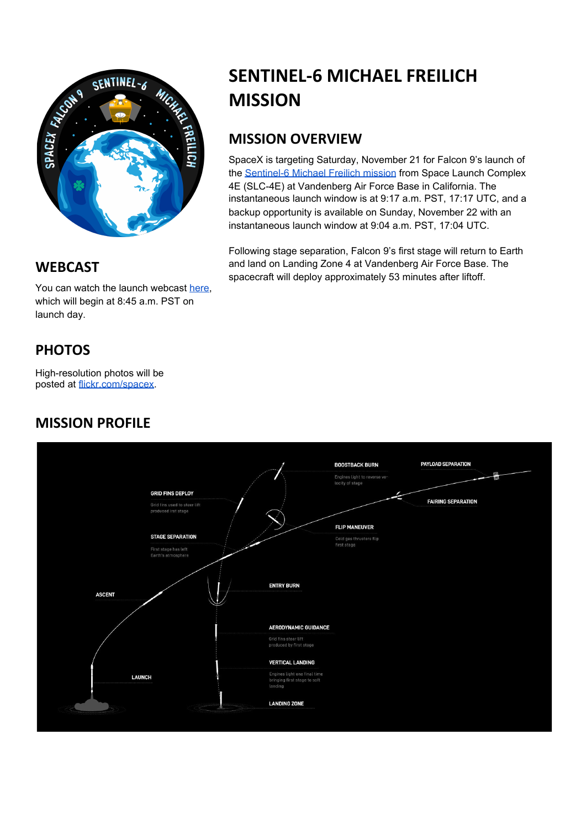

#### **WEBCAST**

You can watch the launch webcast [here,](https://www.youtube.com/watch?v=aVFPzTDCihQ) which will begin at 8:45 a.m. PST on launch day.

# **PHOTOS**

High-resolution photos will be posted at [flickr.com/spacex.](https://www.flickr.com/spacex/)

## **MISSION PROFILE**



## **MISSION OVERVIEW**

SpaceX is targeting Saturday, November 21 for Falcon 9's launch of the [Sentinel-6](https://www.spacex.com/static/images/patches/Sentinel-6.png) Michael Freilich mission from Space Launch Complex 4E (SLC-4E) at Vandenberg Air Force Base in California. The instantaneous launch window is at 9:17 a.m. PST, 17:17 UTC, and a backup opportunity is available on Sunday, November 22 with an instantaneous launch window at 9:04 a.m. PST, 17:04 UTC.

Following stage separation, Falcon 9's first stage will return to Earth and land on Landing Zone 4 at Vandenberg Air Force Base. The spacecraft will deploy approximately 53 minutes after liftoff.